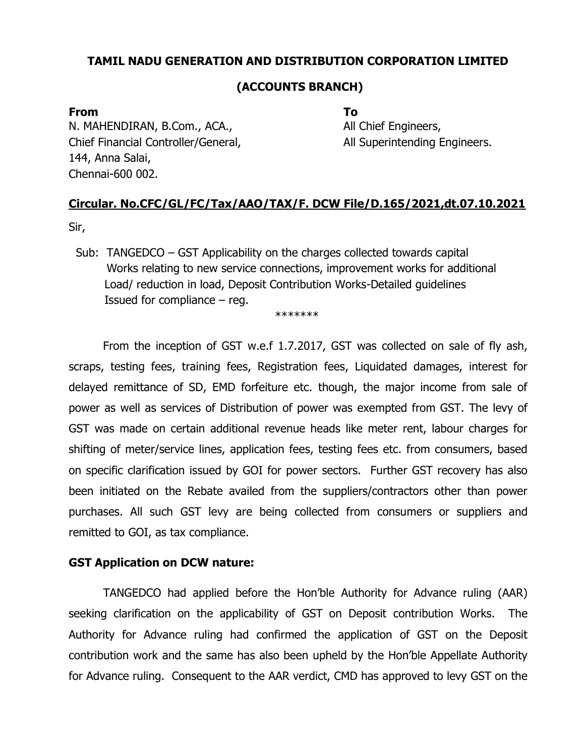### TAMIL NADU GENERATION AND DISTRIBUTION CORPORATION LIMITED

#### (ACCOUNTS BRANCH)

#### From To

N. MAHENDIRAN, B.Com., ACA., A. All Chief Engineers, Chief Financial Controller/General, and all Superintending Engineers. 144, Anna Salai, Chennai-600 002.

## Circular. No.CFC/GL/FC/Tax/AAO/TAX/F. DCW File/D.165/2021,dt.07.10.2021

Sir,

 Sub: TANGEDCO – GST Applicability on the charges collected towards capital Works relating to new service connections, improvement works for additional Load/ reduction in load, Deposit Contribution Works-Detailed guidelines Issued for compliance – reg.

\*\*\*\*\*\*\*

 From the inception of GST w.e.f 1.7.2017, GST was collected on sale of fly ash, scraps, testing fees, training fees, Registration fees, Liquidated damages, interest for delayed remittance of SD, EMD forfeiture etc. though, the major income from sale of power as well as services of Distribution of power was exempted from GST. The levy of GST was made on certain additional revenue heads like meter rent, labour charges for shifting of meter/service lines, application fees, testing fees etc. from consumers, based on specific clarification issued by GOI for power sectors. Further GST recovery has also been initiated on the Rebate availed from the suppliers/contractors other than power purchases. All such GST levy are being collected from consumers or suppliers and remitted to GOI, as tax compliance.

#### GST Application on DCW nature:

TANGEDCO had applied before the Hon'ble Authority for Advance ruling (AAR) seeking clarification on the applicability of GST on Deposit contribution Works. The Authority for Advance ruling had confirmed the application of GST on the Deposit contribution work and the same has also been upheld by the Hon'ble Appellate Authority for Advance ruling. Consequent to the AAR verdict, CMD has approved to levy GST on the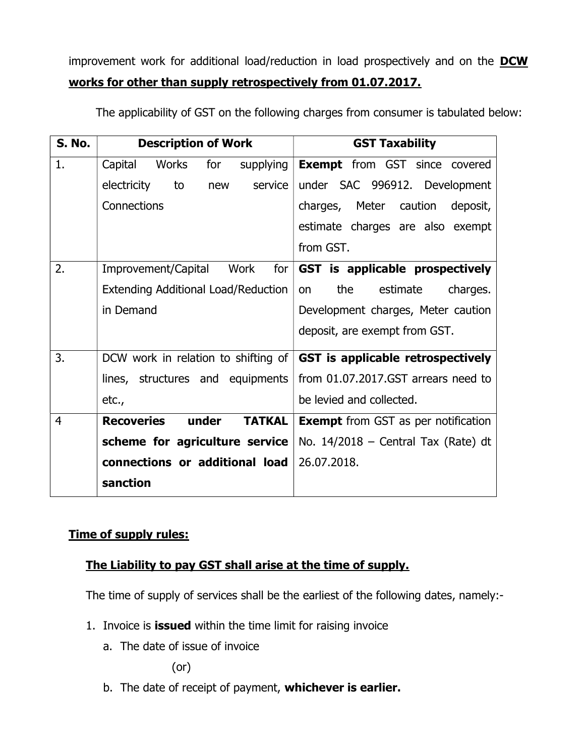improvement work for additional load/reduction in load prospectively and on the DCW works for other than supply retrospectively from 01.07.2017.

| <b>S. No.</b>  | <b>Description of Work</b>                  | <b>GST Taxability</b>                      |
|----------------|---------------------------------------------|--------------------------------------------|
| 1.             | Capital<br>Works<br>for<br>supplying        | <b>Exempt</b> from GST since covered       |
|                | electricity<br>service<br>to<br>new         | under SAC 996912. Development              |
|                | Connections                                 | charges, Meter caution<br>deposit,         |
|                |                                             | estimate charges are also exempt           |
|                |                                             | from GST.                                  |
| 2.             | Improvement/Capital<br>Work<br>for          | GST is applicable prospectively            |
|                | <b>Extending Additional Load/Reduction</b>  | the<br>estimate<br>charges.<br><b>on</b>   |
|                | in Demand                                   | Development charges, Meter caution         |
|                |                                             | deposit, are exempt from GST.              |
| 3.             | DCW work in relation to shifting of         | GST is applicable retrospectively          |
|                | lines, structures and equipments            | from 01.07.2017.GST arrears need to        |
|                | etc.,                                       | be levied and collected.                   |
| $\overline{4}$ | <b>Recoveries</b><br>under<br><b>TATKAL</b> | <b>Exempt</b> from GST as per notification |
|                | scheme for agriculture service              | No. $14/2018$ – Central Tax (Rate) dt      |
|                | connections or additional load              | 26.07.2018.                                |
|                | sanction                                    |                                            |

The applicability of GST on the following charges from consumer is tabulated below:

## Time of supply rules:

## The Liability to pay GST shall arise at the time of supply.

The time of supply of services shall be the earliest of the following dates, namely:-

- 1. Invoice is **issued** within the time limit for raising invoice
	- a. The date of issue of invoice

(or)

b. The date of receipt of payment, whichever is earlier.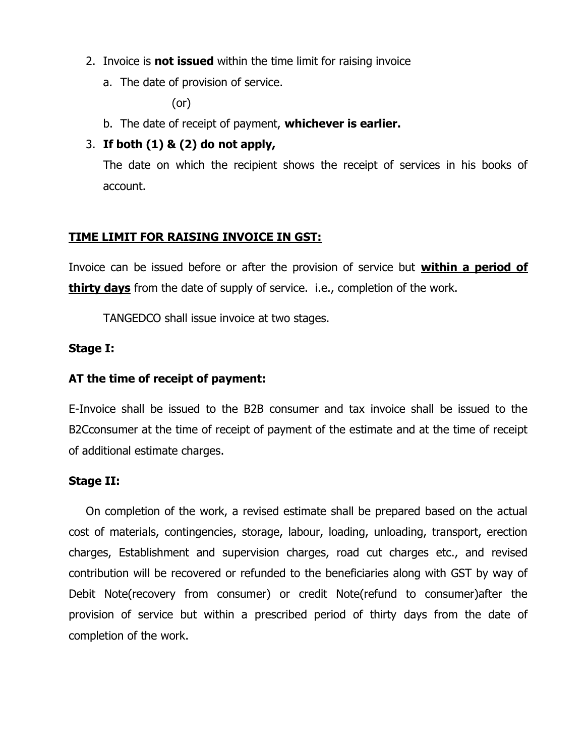- 2. Invoice is **not issued** within the time limit for raising invoice
	- a. The date of provision of service.

(or)

b. The date of receipt of payment, whichever is earlier.

## 3. If both  $(1)$  &  $(2)$  do not apply,

The date on which the recipient shows the receipt of services in his books of account.

### TIME LIMIT FOR RAISING INVOICE IN GST:

Invoice can be issued before or after the provision of service but within a period of thirty days from the date of supply of service. i.e., completion of the work.

TANGEDCO shall issue invoice at two stages.

#### Stage I:

#### AT the time of receipt of payment:

E-Invoice shall be issued to the B2B consumer and tax invoice shall be issued to the B2Cconsumer at the time of receipt of payment of the estimate and at the time of receipt of additional estimate charges.

#### Stage II:

On completion of the work, a revised estimate shall be prepared based on the actual cost of materials, contingencies, storage, labour, loading, unloading, transport, erection charges, Establishment and supervision charges, road cut charges etc., and revised contribution will be recovered or refunded to the beneficiaries along with GST by way of Debit Note(recovery from consumer) or credit Note(refund to consumer)after the provision of service but within a prescribed period of thirty days from the date of completion of the work.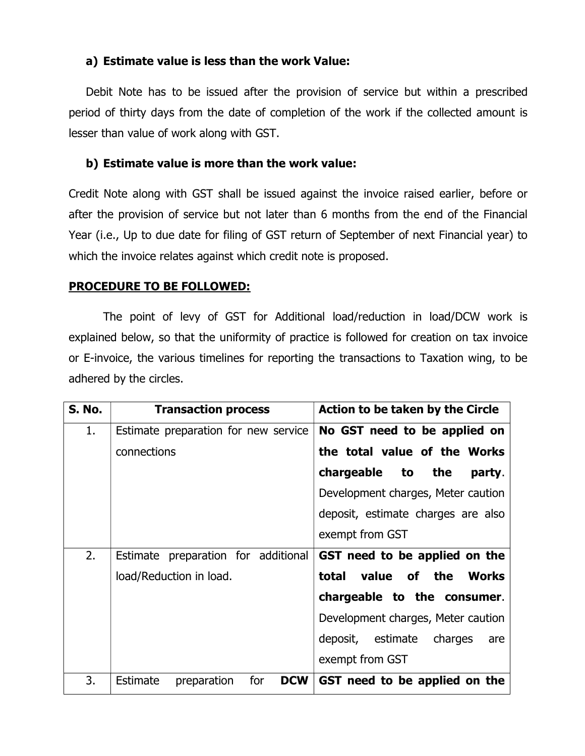### a) Estimate value is less than the work Value:

Debit Note has to be issued after the provision of service but within a prescribed period of thirty days from the date of completion of the work if the collected amount is lesser than value of work along with GST.

#### b) Estimate value is more than the work value:

Credit Note along with GST shall be issued against the invoice raised earlier, before or after the provision of service but not later than 6 months from the end of the Financial Year (i.e., Up to due date for filing of GST return of September of next Financial year) to which the invoice relates against which credit note is proposed.

#### PROCEDURE TO BE FOLLOWED:

The point of levy of GST for Additional load/reduction in load/DCW work is explained below, so that the uniformity of practice is followed for creation on tax invoice or E-invoice, the various timelines for reporting the transactions to Taxation wing, to be adhered by the circles.

| <b>S. No.</b> | <b>Transaction process</b>                          | Action to be taken by the Circle    |
|---------------|-----------------------------------------------------|-------------------------------------|
| 1.            | Estimate preparation for new service                | No GST need to be applied on        |
|               | connections                                         | the total value of the Works        |
|               |                                                     | chargeable to the<br>party.         |
|               |                                                     | Development charges, Meter caution  |
|               |                                                     | deposit, estimate charges are also  |
|               |                                                     | exempt from GST                     |
| 2.            | Estimate preparation for additional                 | GST need to be applied on the       |
|               | load/Reduction in load.                             | value of the Works<br>total         |
|               |                                                     | chargeable to the consumer.         |
|               |                                                     | Development charges, Meter caution  |
|               |                                                     | deposit, estimate<br>charges<br>are |
|               |                                                     | exempt from GST                     |
| 3.            | for<br><b>DCW</b><br><b>Estimate</b><br>preparation | GST need to be applied on the       |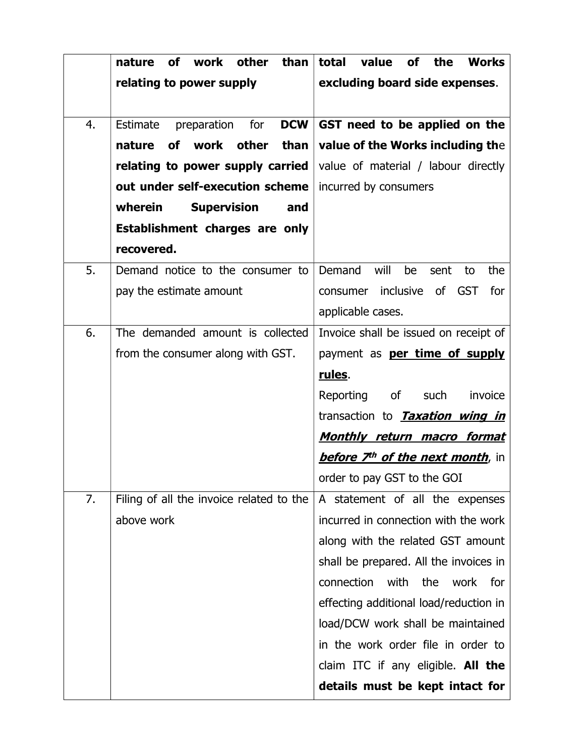|    | work other<br>than<br><b>of</b><br>nature    | total<br><b>Works</b><br>value<br><b>of</b><br>the  |
|----|----------------------------------------------|-----------------------------------------------------|
|    | relating to power supply                     | excluding board side expenses.                      |
|    |                                              |                                                     |
| 4. | for<br><b>DCW</b><br>Estimate<br>preparation | GST need to be applied on the                       |
|    | work other<br>than<br><b>of</b><br>nature    | value of the Works including the                    |
|    | relating to power supply carried             | value of material / labour directly                 |
|    | out under self-execution scheme              | incurred by consumers                               |
|    | wherein<br><b>Supervision</b><br>and         |                                                     |
|    | Establishment charges are only               |                                                     |
|    | recovered.                                   |                                                     |
| 5. | Demand notice to the consumer to             | will<br>Demand<br>be<br>the<br>sent<br>to           |
|    | pay the estimate amount                      | inclusive<br>of GST<br>for<br>consumer              |
|    |                                              | applicable cases.                                   |
| 6. | The demanded amount is collected             | Invoice shall be issued on receipt of               |
|    | from the consumer along with GST.            | payment as <b>per time of supply</b>                |
|    |                                              | <u>rules</u> .                                      |
|    |                                              | Reporting<br>of<br>such<br>invoice                  |
|    |                                              | transaction to <b>Taxation wing in</b>              |
|    |                                              | <u>Monthly return macro format</u>                  |
|    |                                              | <b>before 7<sup>th</sup> of the next month</b> , in |
|    |                                              | order to pay GST to the GOI                         |
| 7. | Filing of all the invoice related to the     | A statement of all the expenses                     |
|    | above work                                   | incurred in connection with the work                |
|    |                                              | along with the related GST amount                   |
|    |                                              | shall be prepared. All the invoices in              |
|    |                                              | connection<br>with<br>the<br>work<br>for            |
|    |                                              | effecting additional load/reduction in              |
|    |                                              | load/DCW work shall be maintained                   |
|    |                                              | in the work order file in order to                  |
|    |                                              | claim ITC if any eligible. All the                  |
|    |                                              | details must be kept intact for                     |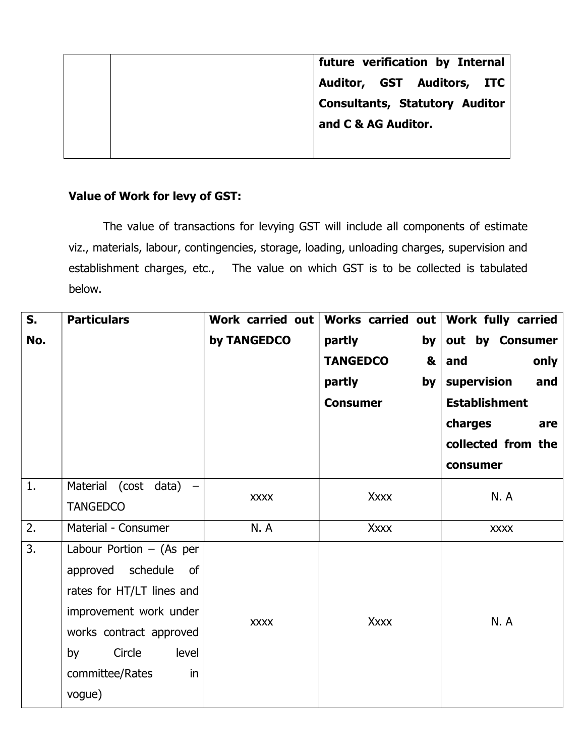|  | future verification by Internal       |
|--|---------------------------------------|
|  | Auditor, GST Auditors, ITC            |
|  | <b>Consultants, Statutory Auditor</b> |
|  | and C & AG Auditor.                   |
|  |                                       |

## Value of Work for levy of GST:

 The value of transactions for levying GST will include all components of estimate viz., materials, labour, contingencies, storage, loading, unloading charges, supervision and establishment charges, etc., The value on which GST is to be collected is tabulated below.

| S.  | <b>Particulars</b>         | Work carried out | Works carried out         | Work fully carried   |  |
|-----|----------------------------|------------------|---------------------------|----------------------|--|
| No. |                            | by TANGEDCO      | partly<br>by <sub>1</sub> | out by Consumer      |  |
|     |                            |                  | <b>TANGEDCO</b><br>&      | and<br>only          |  |
|     |                            |                  | partly<br>by <sub>1</sub> | supervision<br>and   |  |
|     |                            |                  | <b>Consumer</b>           | <b>Establishment</b> |  |
|     |                            |                  |                           | charges<br>are       |  |
|     |                            |                  |                           | collected from the   |  |
|     |                            |                  |                           | consumer             |  |
| 1.  | Material (cost data) -     | <b>XXXX</b>      | <b>Xxxx</b>               | N.A                  |  |
|     | <b>TANGEDCO</b>            |                  |                           |                      |  |
| 2.  | Material - Consumer        | <b>N.A</b>       | <b>Xxxx</b>               | <b>XXXX</b>          |  |
| 3.  | Labour Portion $-$ (As per |                  |                           |                      |  |
|     | approved schedule<br>of    |                  |                           |                      |  |
|     | rates for HT/LT lines and  |                  |                           |                      |  |
|     | improvement work under     | <b>XXXX</b>      | <b>Xxxx</b>               | <b>N.A</b>           |  |
|     | works contract approved    |                  |                           |                      |  |
|     | Circle<br>level<br>by      |                  |                           |                      |  |
|     | committee/Rates<br>in      |                  |                           |                      |  |
|     | vogue)                     |                  |                           |                      |  |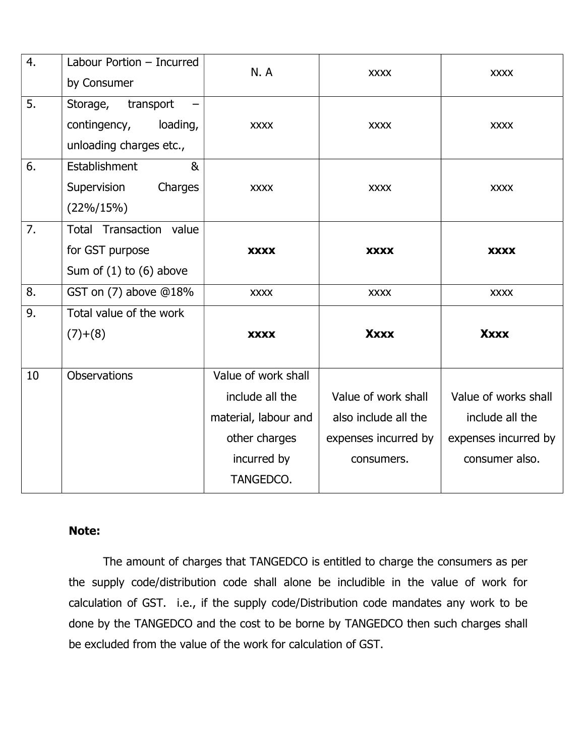| 4. | Labour Portion - Incurred<br>by Consumer                                         | <b>N.A</b>           | <b>XXXX</b>          | <b>XXXX</b>          |
|----|----------------------------------------------------------------------------------|----------------------|----------------------|----------------------|
| 5. | Storage,<br>transport<br>contingency,<br>loading,<br>unloading charges etc.,     | <b>XXXX</b>          | <b>XXXX</b>          | <b>XXXX</b>          |
| 6. | Establishment<br>8 <sub>k</sub><br>Supervision<br>Charges<br>$(22\%/15\%)$       | <b>XXXX</b>          | <b>XXXX</b>          | <b>XXXX</b>          |
| 7. | <b>Total Transaction value</b><br>for GST purpose<br>Sum of $(1)$ to $(6)$ above | <b>XXXX</b>          | <b>XXXX</b>          | <b>XXXX</b>          |
| 8. | GST on $(7)$ above $@18\%$                                                       | <b>XXXX</b>          | <b>XXXX</b>          | <b>XXXX</b>          |
| 9. | Total value of the work                                                          |                      |                      |                      |
|    | $(7)+(8)$                                                                        | <b>XXXX</b>          | <b>Xxxx</b>          | <b>Xxxx</b>          |
| 10 | <b>Observations</b>                                                              | Value of work shall  |                      |                      |
|    |                                                                                  | include all the      | Value of work shall  | Value of works shall |
|    |                                                                                  | material, labour and | also include all the | include all the      |
|    |                                                                                  | other charges        | expenses incurred by | expenses incurred by |
|    |                                                                                  | incurred by          | consumers.           | consumer also.       |
|    |                                                                                  | TANGEDCO.            |                      |                      |

## Note:

The amount of charges that TANGEDCO is entitled to charge the consumers as per the supply code/distribution code shall alone be includible in the value of work for calculation of GST. i.e., if the supply code/Distribution code mandates any work to be done by the TANGEDCO and the cost to be borne by TANGEDCO then such charges shall be excluded from the value of the work for calculation of GST.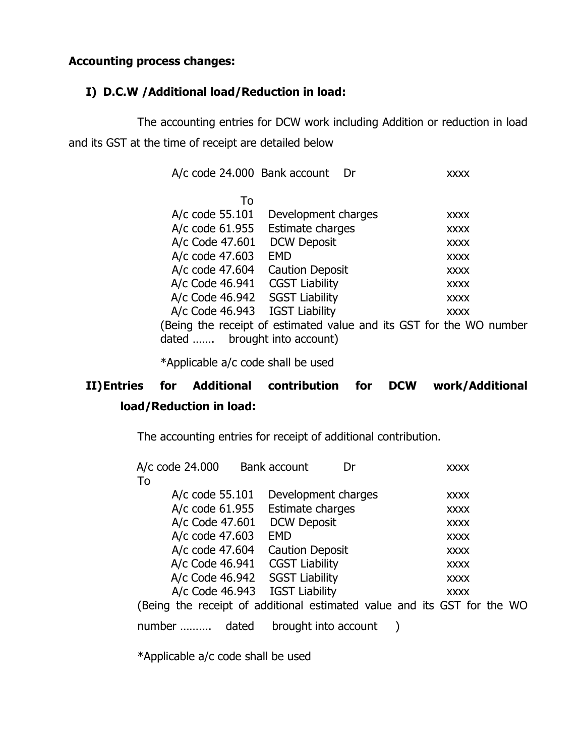## Accounting process changes:

## I) D.C.W /Additional load/Reduction in load:

The accounting entries for DCW work including Addition or reduction in load and its GST at the time of receipt are detailed below

| A/c code 24.000 Bank account | Dr                     | XXXX                                                                |
|------------------------------|------------------------|---------------------------------------------------------------------|
| To                           |                        |                                                                     |
| A/c code 55.101              | Development charges    | <b>XXXX</b>                                                         |
| A/c code 61.955              | Estimate charges       | <b>XXXX</b>                                                         |
| A/c Code 47.601              | <b>DCW Deposit</b>     | <b>XXXX</b>                                                         |
| A/c code 47.603              | EMD                    | <b>XXXX</b>                                                         |
| A/c code 47.604              | <b>Caution Deposit</b> | <b>XXXX</b>                                                         |
| A/c Code 46.941              | <b>CGST Liability</b>  | <b>XXXX</b>                                                         |
| A/c Code 46.942              | <b>SGST Liability</b>  | <b>XXXX</b>                                                         |
| A/c Code 46.943              | <b>IGST Liability</b>  | <b>XXXX</b>                                                         |
|                              |                        | (Being the receipt of estimated value and its GST for the WO number |
| dated                        | brought into account)  |                                                                     |

\*Applicable a/c code shall be used

# II)Entries for Additional contribution for DCW work/Additional load/Reduction in load:

The accounting entries for receipt of additional contribution.

| A/c code 24.000   | Bank account<br>Dr               | <b>XXXX</b>                                                             |  |
|-------------------|----------------------------------|-------------------------------------------------------------------------|--|
| To                |                                  |                                                                         |  |
| A/c code $55.101$ | Development charges              | <b>XXXX</b>                                                             |  |
|                   | A/c code 61.955 Estimate charges | <b>XXXX</b>                                                             |  |
| A/c Code 47.601   | <b>DCW Deposit</b>               | <b>XXXX</b>                                                             |  |
| A/c code 47.603   | <b>EMD</b>                       | <b>XXXX</b>                                                             |  |
| A/c code 47.604   | <b>Caution Deposit</b>           | <b>XXXX</b>                                                             |  |
| A/c Code 46.941   | <b>CGST Liability</b>            | <b>XXXX</b>                                                             |  |
| A/c Code 46.942   | <b>SGST Liability</b>            | <b>XXXX</b>                                                             |  |
|                   | A/c Code 46.943 IGST Liability   | <b>XXXX</b>                                                             |  |
|                   |                                  | (Being the receipt of additional estimated value and its GST for the WO |  |
| dated<br>number   | brought into account             |                                                                         |  |

\*Applicable a/c code shall be used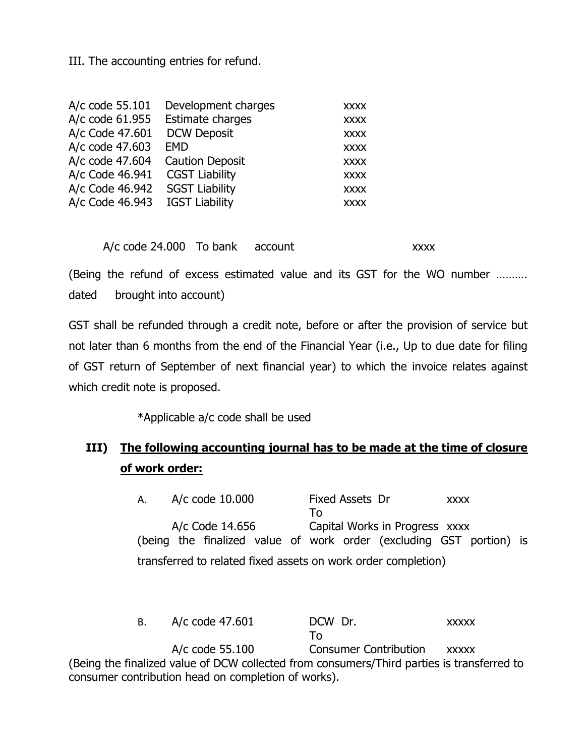III. The accounting entries for refund.

| A/c code 55.101 | Development charges    | <b>XXXX</b> |
|-----------------|------------------------|-------------|
| A/c code 61.955 | Estimate charges       | <b>XXXX</b> |
| A/c Code 47.601 | <b>DCW Deposit</b>     | <b>XXXX</b> |
| A/c code 47.603 | <b>EMD</b>             | <b>XXXX</b> |
| A/c code 47.604 | <b>Caution Deposit</b> | <b>XXXX</b> |
| A/c Code 46.941 | <b>CGST Liability</b>  | <b>XXXX</b> |
| A/c Code 46.942 | <b>SGST Liability</b>  | <b>XXXX</b> |
| A/c Code 46.943 | <b>IGST Liability</b>  | <b>XXXX</b> |
|                 |                        |             |

A/c code 24.000 To bank account xxxx

(Being the refund of excess estimated value and its GST for the WO number ………. dated brought into account)

GST shall be refunded through a credit note, before or after the provision of service but not later than 6 months from the end of the Financial Year (i.e., Up to due date for filing of GST return of September of next financial year) to which the invoice relates against which credit note is proposed.

\*Applicable a/c code shall be used

# III) The following accounting journal has to be made at the time of closure of work order:

A. A/c code 10.000 Fixed Assets Dr xxxx To A/c Code 14.656 Capital Works in Progress xxxx (being the finalized value of work order (excluding GST portion) is transferred to related fixed assets on work order completion)

B. A/c code 47.601 DCW Dr. xxxxx To A/c code 55.100 Consumer Contribution xxxxx (Being the finalized value of DCW collected from consumers/Third parties is transferred to consumer contribution head on completion of works).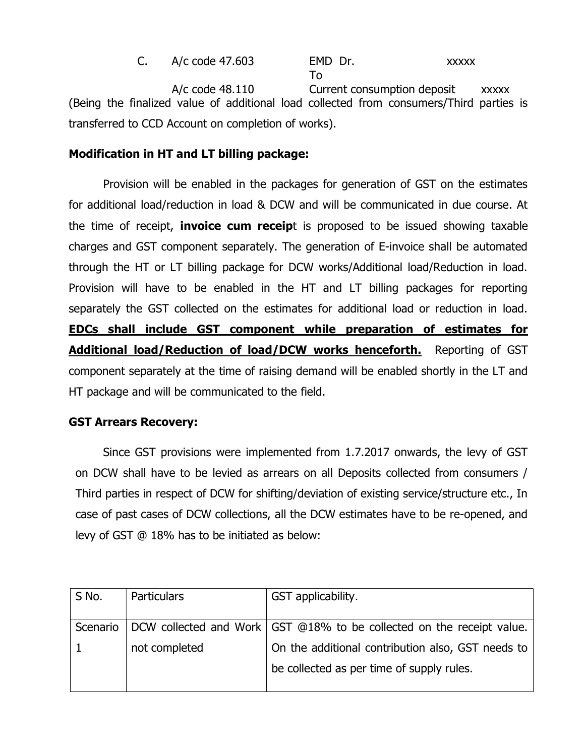C. A/c code 47.603 EMD Dr. xxxxx To A/c code 48.110 Current consumption deposit xxxxx (Being the finalized value of additional load collected from consumers/Third parties is transferred to CCD Account on completion of works).

## Modification in HT and LT billing package:

Provision will be enabled in the packages for generation of GST on the estimates for additional load/reduction in load & DCW and will be communicated in due course. At the time of receipt, **invoice cum receip**t is proposed to be issued showing taxable charges and GST component separately. The generation of E-invoice shall be automated through the HT or LT billing package for DCW works/Additional load/Reduction in load. Provision will have to be enabled in the HT and LT billing packages for reporting separately the GST collected on the estimates for additional load or reduction in load. EDCs shall include GST component while preparation of estimates for Additional load/Reduction of load/DCW works henceforth. Reporting of GST component separately at the time of raising demand will be enabled shortly in the LT and HT package and will be communicated to the field.

## GST Arrears Recovery:

Since GST provisions were implemented from 1.7.2017 onwards, the levy of GST on DCW shall have to be levied as arrears on all Deposits collected from consumers / Third parties in respect of DCW for shifting/deviation of existing service/structure etc., In case of past cases of DCW collections, all the DCW estimates have to be re-opened, and levy of GST @ 18% has to be initiated as below:

| S No.    | Particulars   | GST applicability.                                                      |
|----------|---------------|-------------------------------------------------------------------------|
| Scenario |               | DCW collected and Work   GST @18% to be collected on the receipt value. |
|          | not completed | On the additional contribution also, GST needs to                       |
|          |               | be collected as per time of supply rules.                               |
|          |               |                                                                         |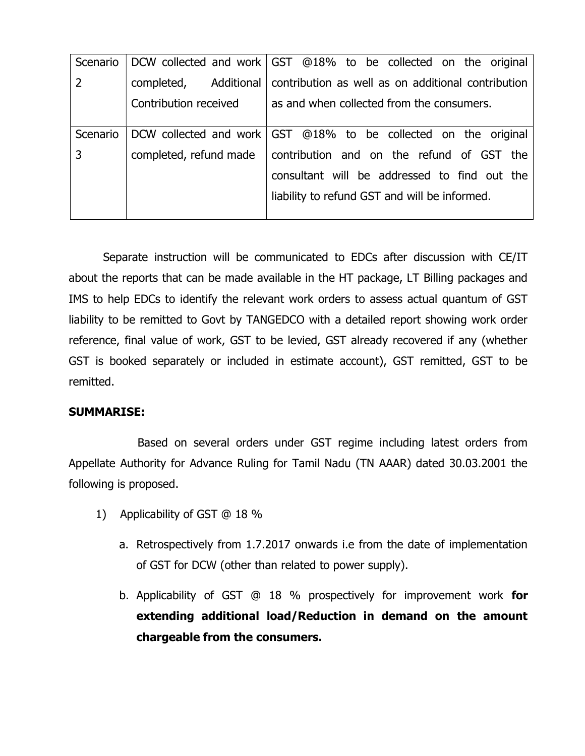| Scenario       |                        | DCW collected and work   GST @18% to be collected on the original |
|----------------|------------------------|-------------------------------------------------------------------|
| $\overline{2}$ | completed, Additional  | contribution as well as on additional contribution                |
|                | Contribution received  | as and when collected from the consumers.                         |
|                |                        |                                                                   |
| Scenario       |                        | DCW collected and work GST @18% to be collected on the original   |
| 3              | completed, refund made | contribution and on the refund of GST the                         |
|                |                        | consultant will be addressed to find out the                      |
|                |                        | liability to refund GST and will be informed.                     |
|                |                        |                                                                   |

Separate instruction will be communicated to EDCs after discussion with CE/IT about the reports that can be made available in the HT package, LT Billing packages and IMS to help EDCs to identify the relevant work orders to assess actual quantum of GST liability to be remitted to Govt by TANGEDCO with a detailed report showing work order reference, final value of work, GST to be levied, GST already recovered if any (whether GST is booked separately or included in estimate account), GST remitted, GST to be remitted.

#### SUMMARISE:

 Based on several orders under GST regime including latest orders from Appellate Authority for Advance Ruling for Tamil Nadu (TN AAAR) dated 30.03.2001 the following is proposed.

- 1) Applicability of GST @ 18 %
	- a. Retrospectively from 1.7.2017 onwards i.e from the date of implementation of GST for DCW (other than related to power supply).
	- b. Applicability of GST @ 18 % prospectively for improvement work for extending additional load/Reduction in demand on the amount chargeable from the consumers.